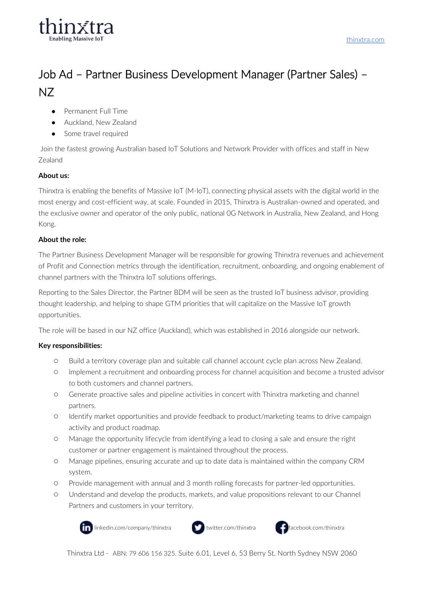

[thinxtra.com](http://www.thinxtra.com/)

# Job Ad – Partner Business Development Manager (Partner Sales) – NZ

- Permanent Full Time
- Auckland, New Zealand
- Some travel required

Join the fastest growing Australian based IoT Solutions and Network Provider with offices and staff in New Zealand

### **About us:**

Thinxtra is enabling the benefits of Massive IoT (M-IoT), connecting physical assets with the digital world in the most energy and cost-efficient way, at scale. Founded in 2015, Thinxtra is Australian-owned and operated, and the exclusive owner and operator of the only public, national 0G Network in Australia, New Zealand, and Hong Kong.

### **About the role:**

The Partner Business Development Manager will be responsible for growing Thinxtra revenues and achievement of Profit and Connection metrics through the identification, recruitment, onboarding, and ongoing enablement of channel partners with the Thinxtra IoT solutions offerings.

Reporting to the Sales Director, the Partner BDM will be seen as the trusted IoT business advisor, providing thought leadership, and helping to shape GTM priorities that will capitalize on the Massive IoT growth opportunities.

The role will be based in our NZ office (Auckland), which was established in 2016 alongside our network.

## **Key responsibilities:**

- Build a territory coverage plan and suitable call channel account cycle plan across New Zealand.
- Implement a recruitment and onboarding process for channel acquisition and become a trusted advisor to both customers and channel partners.
- Generate proactive sales and pipeline activities in concert with Thinxtra marketing and channel partners.
- Identify market opportunities and provide feedback to product/marketing teams to drive campaign activity and product roadmap.
- Manage the opportunity lifecycle from identifying a lead to closing a sale and ensure the right customer or partner engagement is maintained throughout the process.
- Manage pipelines, ensuring accurate and up to date data is maintained within the company CRM system.
- Provide management with annual and 3 month rolling forecasts for partner-led opportunities.
- Understand and develop the products, markets, and value propositions relevant to our Channel Partners and customers in your territory.



linkedin.com/company/thinxtra  $\bullet$  twitter.com/thinxtra  $\bullet$  facebook.com/thinxtra





Thinxtra Ltd - ABN: 79 606 156 325. Suite 6.01, Level 6, 53 Berry St, North Sydney NSW 2060